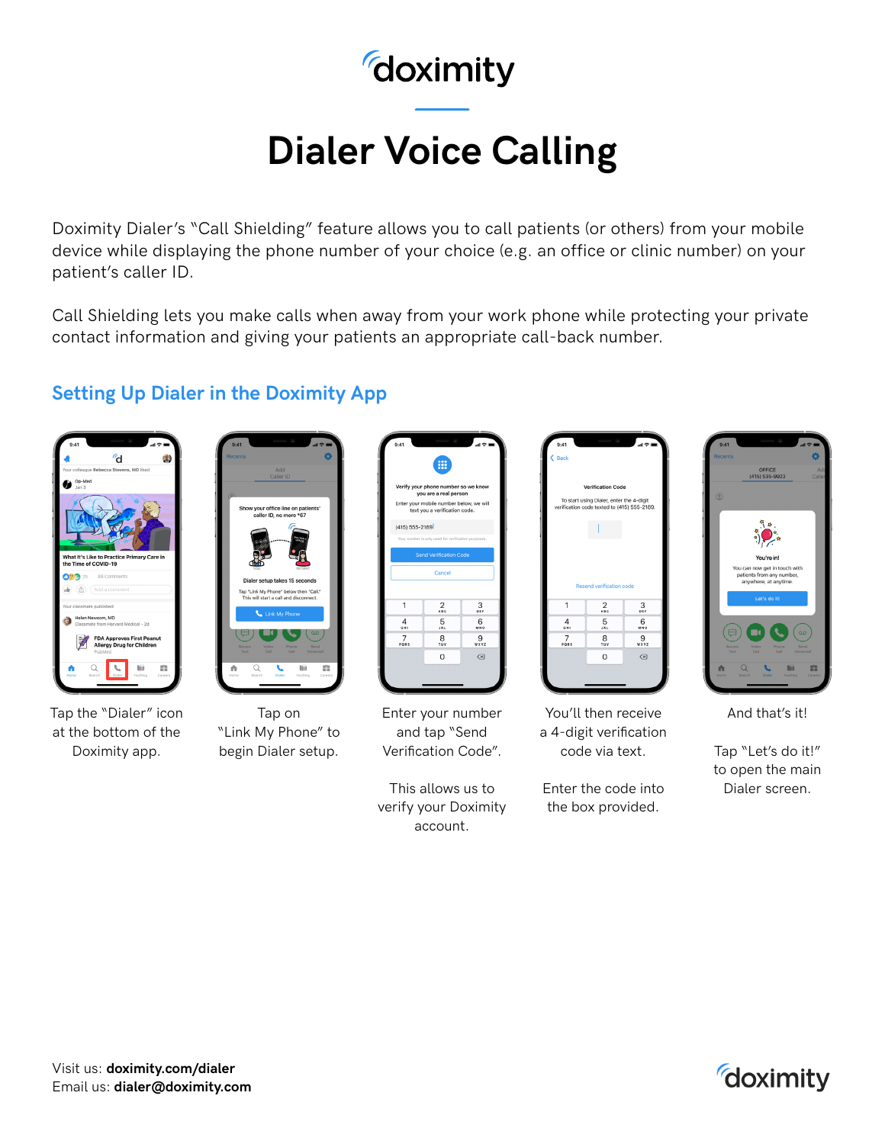## doximity

# **Dialer Voice Calling**

Doximity Dialer's "Call Shielding" feature allows you to call patients (or others) from your mobile device while displaying the phone number of your choice (e.g. an office or clinic number) on your patient's caller ID.

Call Shielding lets you make calls when away from your work phone while protecting your private contact information and giving your patients an appropriate call-back number.

#### **Setting Up Dialer in the Doximity App**



Tap the "Dialer" icon at the bottom of the Doximity app.



Tap on "Link My Phone" to begin Dialer setup.

| 9:41               | ₩                                                                                                                                        | al O               |
|--------------------|------------------------------------------------------------------------------------------------------------------------------------------|--------------------|
|                    | Verify your phone number so we know<br>you are a real person<br>Enter your mobile number below, we will<br>text you a verification code. |                    |
| $(415) 555 - 2189$ |                                                                                                                                          |                    |
|                    | Your number is only used for verification purposes.                                                                                      |                    |
|                    | <b>Send Verification Code</b>                                                                                                            |                    |
|                    | Cancel                                                                                                                                   |                    |
| 1                  | $\frac{2}{486}$                                                                                                                          | 3<br>$\frac{1}{2}$ |
| 4<br><b>GHI</b>    | 5<br>ax c                                                                                                                                | 6<br>MNO           |
| 7<br>PORS          | 8<br>TUV                                                                                                                                 | 9<br>wxyz          |
|                    | 0                                                                                                                                        | $(\times)$         |
|                    |                                                                                                                                          |                    |

Enter your number and tap "Send Verification Code".

This allows us to verify your Doximity account.

| 9:41           |                                                                                         | $\ln 2$                      |
|----------------|-----------------------------------------------------------------------------------------|------------------------------|
| $\langle$ Back |                                                                                         |                              |
|                |                                                                                         |                              |
|                | <b>Verification Code</b>                                                                |                              |
|                | To start using Dialer, enter the 4-digit<br>verification code texted to (415) 555-2189. |                              |
|                |                                                                                         |                              |
|                |                                                                                         |                              |
|                |                                                                                         |                              |
|                |                                                                                         |                              |
|                |                                                                                         |                              |
|                | <b>Resend verification code</b>                                                         |                              |
| 1              | $\frac{2}{486}$                                                                         | 3<br>$\overline{\mathbf{r}}$ |
| 4<br>GHI       | 5<br>JKL                                                                                | 6<br>MNO                     |
| 7              | 8<br>TUV                                                                                | 9<br>wxyz                    |
| PORS           |                                                                                         |                              |
|                | $\mathbf 0$                                                                             | $(\overline{x})$             |
|                |                                                                                         |                              |

You'll then receive a 4-digit verification code via text.

Enter the code into the box provided.



And that's it!

Tap "Let's do it!" to open the main Dialer screen.

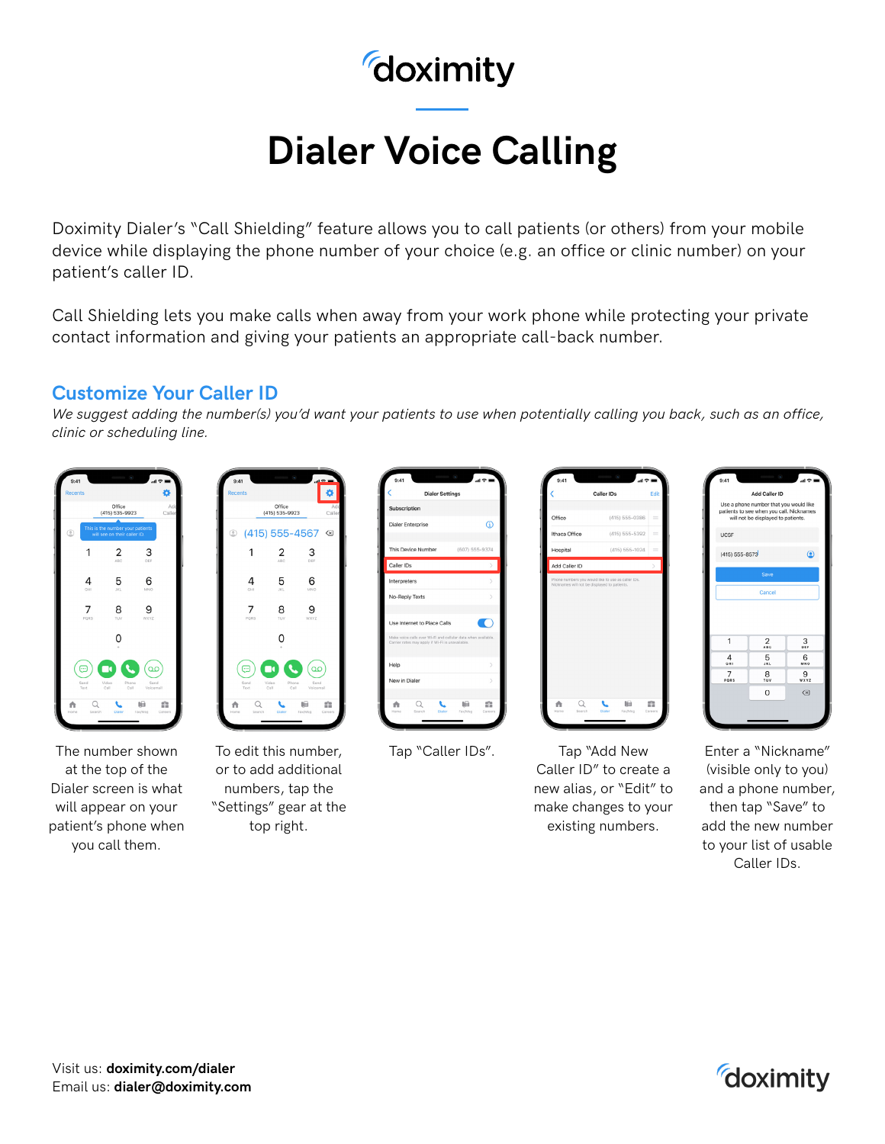## doximity

# **Dialer Voice Calling**

Doximity Dialer's "Call Shielding" feature allows you to call patients (or others) from your mobile device while displaying the phone number of your choice (e.g. an office or clinic number) on your patient's caller ID.

Call Shielding lets you make calls when away from your work phone while protecting your private contact information and giving your patients an appropriate call-back number.

#### **Customize Your Caller ID**

*We suggest adding the number(s) you'd want your patients to use when potentially calling you back, such as an office, clinic or scheduling line.*



The number shown at the top of the Dialer screen is what will appear on your patient's phone when you call them.



To edit this number, or to add additional numbers, tap the "Settings" gear at the top right.

| Subscription                                                                                                      |                |               |
|-------------------------------------------------------------------------------------------------------------------|----------------|---------------|
| <b>Dialer Enterprise</b>                                                                                          |                | ⊕             |
|                                                                                                                   |                |               |
| This Device Number                                                                                                | (607) 555-9374 |               |
| Caller IDs                                                                                                        |                |               |
| Interpreters                                                                                                      |                |               |
| No-Reply Texts                                                                                                    |                | $\mathcal{E}$ |
|                                                                                                                   |                |               |
| Use Internet to Place Calls                                                                                       |                |               |
| Make voice calls over Wi-Fi and cellular data when available.<br>Carrier rates may apply if Wi-Fi is unavailable. |                |               |
|                                                                                                                   |                |               |
| Help                                                                                                              |                | $\mathcal{L}$ |
| New in Dialer                                                                                                     |                | $\mathcal{L}$ |
|                                                                                                                   |                |               |

|               | Caller IDs                                                                                         | Edit          |
|---------------|----------------------------------------------------------------------------------------------------|---------------|
|               |                                                                                                    |               |
| Office        | (415) 555-0386                                                                                     | $=$           |
| Ithaca Office | (415) 555-5392                                                                                     |               |
| Hospital      | (415) 555-1024                                                                                     | $=$           |
|               |                                                                                                    |               |
| Add Caller ID | Phone numbers you would like to use as caller IDs.<br>Nicknames will not be displayed to patients. |               |
|               |                                                                                                    |               |
|               |                                                                                                    |               |
|               |                                                                                                    | $\mathcal{P}$ |

Tap "Caller IDs". Tap "Add New Caller ID" to create a new alias, or "Edit" to make changes to your existing numbers.



Enter a "Nickname" (visible only to you) and a phone number, then tap "Save" to add the new number to your list of usable Caller IDs.